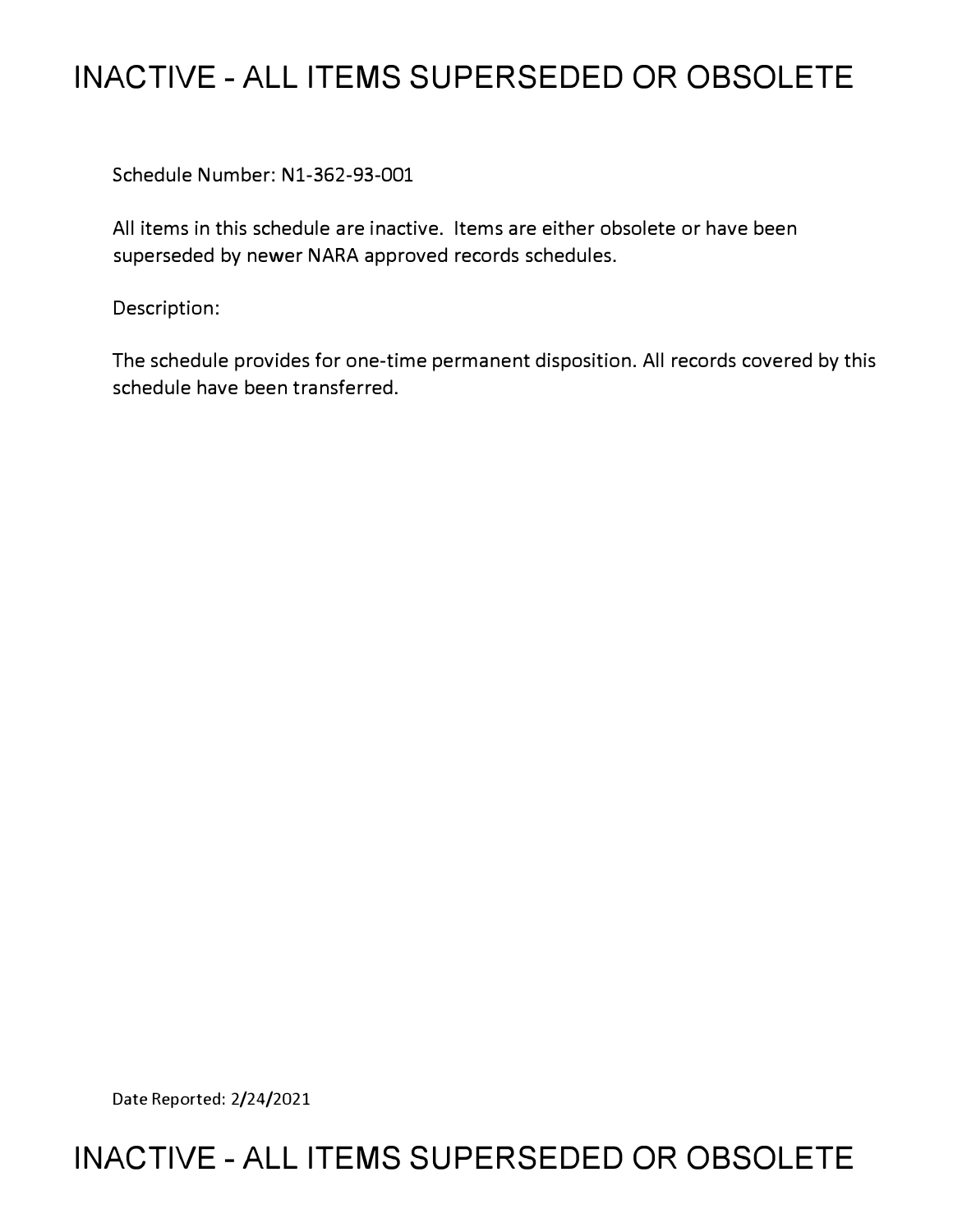## **INACTIVE - ALL ITEMS SUPERSEDED OR OBSOLETE**

Schedule Number: Nl-362-93-001

All items in this schedule are inactive. Items are either obsolete or have been superseded by newer NARA approved records schedules.

Description:

The schedule provides for one-time permanent disposition. All records covered by this schedule have been transferred.

Date Reported: 2/24/2021

## **INACTIVE - ALL ITEMS SUPERSEDED OR OBSOLETE**